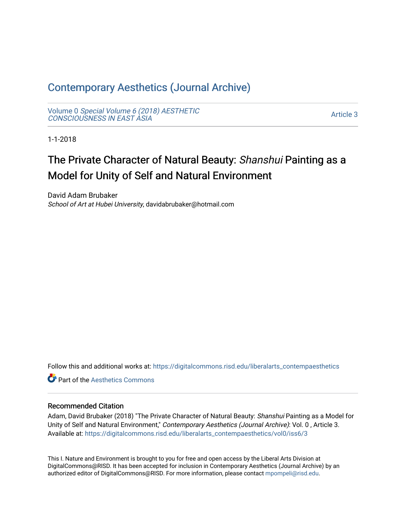# [Contemporary Aesthetics \(Journal Archive\)](https://digitalcommons.risd.edu/liberalarts_contempaesthetics)

Volume 0 [Special Volume 6 \(2018\) AESTHETIC](https://digitalcommons.risd.edu/liberalarts_contempaesthetics/vol0) [CONSCIOUSNESS IN EAST ASIA](https://digitalcommons.risd.edu/liberalarts_contempaesthetics/vol0)

[Article 3](https://digitalcommons.risd.edu/liberalarts_contempaesthetics/vol0/iss6/3) 

1-1-2018

# The Private Character of Natural Beauty: Shanshui Painting as a Model for Unity of Self and Natural Environment

David Adam Brubaker School of Art at Hubei University, davidabrubaker@hotmail.com

Follow this and additional works at: [https://digitalcommons.risd.edu/liberalarts\\_contempaesthetics](https://digitalcommons.risd.edu/liberalarts_contempaesthetics?utm_source=digitalcommons.risd.edu%2Fliberalarts_contempaesthetics%2Fvol0%2Fiss6%2F3&utm_medium=PDF&utm_campaign=PDFCoverPages) 

**C** Part of the Aesthetics Commons

## Recommended Citation

Adam, David Brubaker (2018) "The Private Character of Natural Beauty: Shanshui Painting as a Model for Unity of Self and Natural Environment," Contemporary Aesthetics (Journal Archive): Vol. 0 , Article 3. Available at: [https://digitalcommons.risd.edu/liberalarts\\_contempaesthetics/vol0/iss6/3](https://digitalcommons.risd.edu/liberalarts_contempaesthetics/vol0/iss6/3?utm_source=digitalcommons.risd.edu%2Fliberalarts_contempaesthetics%2Fvol0%2Fiss6%2F3&utm_medium=PDF&utm_campaign=PDFCoverPages)

This I. Nature and Environment is brought to you for free and open access by the Liberal Arts Division at DigitalCommons@RISD. It has been accepted for inclusion in Contemporary Aesthetics (Journal Archive) by an authorized editor of DigitalCommons@RISD. For more information, please contact [mpompeli@risd.edu.](mailto:mpompeli@risd.edu)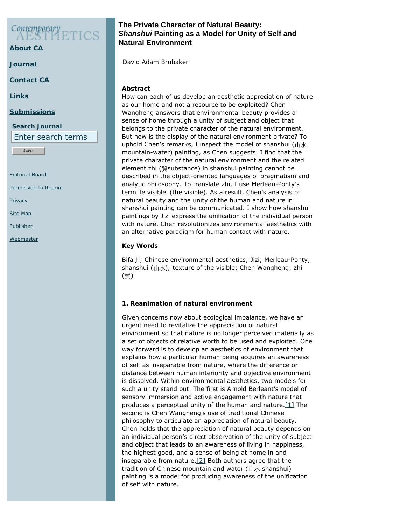# Contemporary

**[About CA](https://www.contempaesthetics.org/pages/about.html)**

**[Journal](https://www.contempaesthetics.org/newvolume/pages/journal.php)**

**[Contact CA](https://www.contempaesthetics.org/pages/contact.html)**

**[Links](https://www.contempaesthetics.org/pages/links.html)**

#### **[Submissions](https://www.contempaesthetics.org/pages/guidelines.html)**

**Search Journal** Enter search terms

Search

[Editorial Board](https://www.contempaesthetics.org/pages/editorialboard.html)

[Permission to Reprint](https://www.contempaesthetics.org/pages/reprint.html)

**[Privacy](https://www.contempaesthetics.org/pages/privacy.html)** 

[Site Map](https://www.contempaesthetics.org/pages/sitemap.html)

[Publisher](https://www.contempaesthetics.org/pages/publisher.html)

**[Webmaster](mailto:webmaster@contempaesthetics.org)** 

# **The Private Character of Natural Beauty:**  *Shanshui* **Painting as a Model for Unity of Self and Natural Environment**

 *David Adam Brubaker*

## **Abstract**

How can each of us develop an aesthetic appreciation of nature as our home and not a resource to be exploited? Chen Wangheng answers that environmental beauty provides a sense of home through a unity of subject and object that belongs to the private character of the natural environment. But how is the display of the natural environment private? To uphold Chen's remarks, I inspect the model of *shanshui* (山水 mountain-water) painting, as Chen suggests. I find that the private character of the natural environment and the related element *zhi* (質substance) in *shanshui* painting cannot be described in the object-oriented languages of pragmatism and analytic philosophy. To translate *zhi*, I use Merleau-Ponty's term '*le visible'* (the visible). As a result, Chen's analysis of natural beauty and the unity of the human and nature in *shanshui* painting can be communicated. I show how *shanshui* paintings by Jizi express the unification of the individual person with nature. Chen revolutionizes environmental aesthetics with an alternative paradigm for human contact with nature.

# **Key Words**

*Bifa Ji*; Chinese environmental aesthetics; Jizi; Merleau-Ponty; *shanshui* (山水)*;* texture of the visible; Chen Wangheng; *zhi* (質)

# **1. Reanimation of natural environment**

<span id="page-1-1"></span><span id="page-1-0"></span>Given concerns now about ecological imbalance, we have an urgent need to revitalize the appreciation of natural environment so that nature is no longer perceived materially as a set of objects of relative worth to be used and exploited. One way forward is to develop an aesthetics of environment that explains how a particular human being acquires an awareness of self as inseparable from nature, where the difference or distance between human interiority and objective environment is dissolved. Within environmental aesthetics, two models for such a unity stand out. The first is Arnold Berleant's model of sensory immersion and active engagement with nature that produces a perceptual unity of the human and nature. $[1]$  The second is Chen Wangheng's use of traditional Chinese philosophy to articulate an appreciation of natural beauty. Chen holds that the appreciation of natural beauty depends on an individual person's direct observation of the unity of subject and object that leads to an awareness of living in happiness, the highest good, and a sense of being at home in and inseparable from nature. $[2]$  Both authors agree that the tradition of Chinese mountain and water (山水 *shanshui*) painting is a model for producing awareness of the unification of self with nature.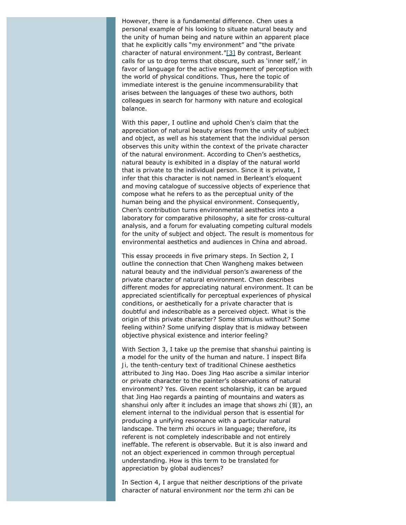<span id="page-2-0"></span>However, there is a fundamental difference. Chen uses a personal example of his looking to situate natural beauty and the unity of human being and nature within an apparent place that he explicitly calls "*my* environment" and "the private character of natural environment.["\[3\]](#page-14-2) By contrast, Berleant calls for us to drop terms that obscure, such as 'inner self,' in favor of language for the active engagement of perception with the world of physical conditions. Thus, here the topic of immediate interest is the genuine incommensurability that arises between the languages of these two authors, both colleagues in search for harmony with nature and ecological balance.

With this paper, I outline and uphold Chen's claim that the appreciation of natural beauty arises from the unity of subject and object, as well as his statement that the individual person observes this unity within the context of the private character of the natural environment. According to Chen's aesthetics, natural beauty is exhibited in a display of the natural world that is private to the individual person. Since it is private, I infer that this character is not named in Berleant's eloquent and moving catalogue of successive objects of experience that compose what he refers to as the perceptual unity of the human being and the physical environment. Consequently, Chen's contribution turns environmental aesthetics into a laboratory for comparative philosophy, a site for cross-cultural analysis, and a forum for evaluating competing cultural models for the unity of subject and object. The result is momentous for environmental aesthetics and audiences in China and abroad.

This essay proceeds in five primary steps. In Section 2, I outline the connection that Chen Wangheng makes between natural beauty and the individual person's awareness of the private character of natural environment. Chen describes different modes for appreciating natural environment. It can be appreciated scientifically for perceptual experiences of physical conditions, or aesthetically for a private character that is doubtful and indescribable as a perceived object. What is the origin of this private character? Some stimulus without? Some feeling within? Some unifying display that is midway between objective physical existence and interior feeling?

With Section 3, I take up the premise that *shanshui* painting is a model for the unity of the human and nature. I inspect *Bifa Ji,* the tenth-century text of traditional Chinese aesthetics attributed to Jing Hao. Does Jing Hao ascribe a similar interior or private character to the painter's observations of natural environment? Yes. Given recent scholarship, it can be argued that Jing Hao regards a painting of mountains and waters as *shanshui* only after it includes an image that shows *zhi* (質), an element internal to the individual person that is essential for producing a unifying resonance with a particular natural landscape. The term *zhi* occurs in language; therefore, its referent is not completely indescribable and not entirely ineffable. The referent is observable. But it is also inward and not an object experienced in common through perceptual understanding. How is this term to be translated for appreciation by global audiences?

In Section 4, I argue that neither descriptions of the private character of natural environment nor the term *zhi* can be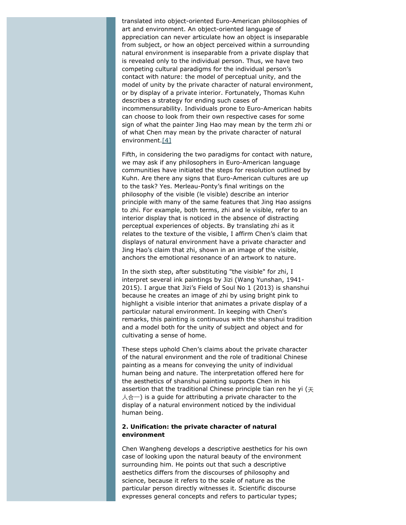translated into object-oriented Euro-American philosophies of art and environment. An object-oriented language of appreciation can never articulate how an object is inseparable from subject, or how an object perceived within a surrounding natural environment is inseparable from a private display that is revealed only to the individual person. Thus, we have two competing cultural paradigms for the individual person's contact with nature: the model of *perceptual unity,* and the model of unity by *the private character* of natural environment, or by display of a *private interior*. Fortunately, Thomas Kuhn describes a strategy for ending such cases of incommensurability. Individuals prone to Euro-American habits can choose to look from their own respective cases for some sign of what the painter Jing Hao may mean by the term *zhi* or of what Chen may mean by the private character of natural environment[.\[4\]](#page-14-3)

<span id="page-3-0"></span>Fifth, in considering the two paradigms for contact with nature, we may ask if any philosophers in Euro-American language communities have initiated the steps for resolution outlined by Kuhn. Are there any signs that Euro-American cultures are up to the task? Yes. Merleau-Ponty's final writings on the philosophy of the visible (*le visible*) describe an interior principle with many of the same features that Jing Hao assigns to *zhi*. For example, both terms, *zhi* and *le visible*, refer to an interior display that is noticed in the absence of distracting perceptual experiences of objects. By translating *zhi* as it relates to the texture of the visible, I affirm Chen's claim that displays of natural environment have a private character and Jing Hao's claim that *zhi*, shown in an image of the visible, anchors the emotional resonance of an artwork to nature.

In the sixth step, after substituting "the visible" for *zhi*, I interpret several ink paintings by Jizi (Wang Yunshan, 1941- 2015). I argue that Jizi's *Field of Soul No 1* (2013) is *shanshui* because he creates an image of *zhi* by using bright pink to highlight a visible interior that animates a private display of a particular natural environment. In keeping with Chen's remarks, this painting is continuous with the *shanshui* tradition and a model both for the unity of subject and object and for cultivating a sense of home.

These steps uphold Chen's claims about the private character of the natural environment and the role of traditional Chinese painting as a means for conveying the unity of individual human being and nature. The interpretation offered here for the aesthetics of *shanshui* painting supports Chen in his assertion that the traditional Chinese principle *tian ren he yi* (天 人合一) is a quide for attributing a private character to the display of a natural environment noticed by the individual human being.

#### **2. Unification: the private character of natural environment**

Chen Wangheng develops a descriptive aesthetics for his own case of looking upon the natural beauty of the environment surrounding him. He points out that such a descriptive aesthetics differs from the discourses of philosophy and science, because it refers to the scale of nature as the particular person directly witnesses it. Scientific discourse expresses general concepts and refers to particular types;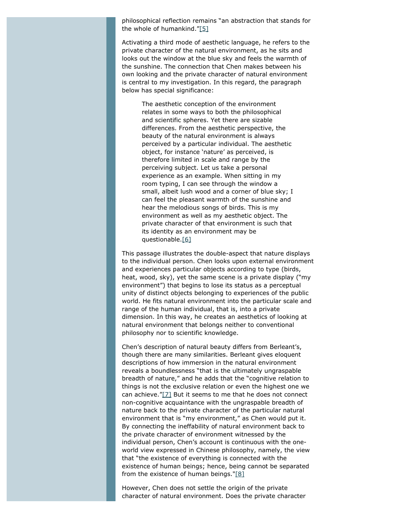<span id="page-4-0"></span>philosophical reflection remains "an abstraction that stands for the whole of humankind.["\[5\]](#page-14-4)

Activating a third mode of aesthetic language, he refers to the private character of the natural environment, as he sits and looks out the window at the blue sky and feels the warmth of the sunshine. The connection that Chen makes between his own looking and the private character of natural environment is central to my investigation. In this regard, the paragraph below has special significance:

> The aesthetic conception of the environment relates in some ways to both the philosophical and scientific spheres. Yet there are sizable differences. From the aesthetic perspective, the beauty of the natural environment is always perceived by a particular individual. The aesthetic object, for instance 'nature' as perceived, is therefore limited in scale and range by the perceiving subject. Let us take a personal experience as an example. When sitting in my room typing, I can see through the window a small, albeit lush wood and a corner of blue sky; I can feel the pleasant warmth of the sunshine and hear the melodious songs of birds. This is *my* environment as well as *my* aesthetic object. The private character of that environment is such that its identity as an environment may be questionable[.\[6\]](#page-14-5)

<span id="page-4-1"></span>This passage illustrates the double-aspect that nature displays to the individual person. Chen looks upon external environment and experiences particular objects according to type (birds, heat, wood, sky), yet the same scene is a private display ("*my* environment") that begins to lose its status as a perceptual unity of distinct objects belonging to experiences of the public world. He fits natural environment into the particular scale and range of the human individual, that is, into a private dimension. In this way, he creates an aesthetics of looking at natural environment that belongs neither to conventional philosophy nor to scientific knowledge.

<span id="page-4-2"></span>Chen's description of natural beauty differs from Berleant's, though there are many similarities. Berleant gives eloquent descriptions of how immersion in the natural environment reveals a boundlessness "that is the ultimately ungraspable breadth of nature," and he adds that the "cognitive relation to things is not the exclusive relation or even the highest one we can achieve.["\[7\]](#page-14-6) But it seems to me that he does not connect non-cognitive acquaintance with the ungraspable breadth of nature back to the private character of the particular natural environment that is "my environment," as Chen would put it. By connecting the ineffability of natural environment back to the private character of environment witnessed by the individual person, Chen's account is continuous with the oneworld view expressed in Chinese philosophy, namely, the view that "the existence of everything is connected with the existence of human beings; hence, being cannot be separated from the existence of human beings.["\[8\]](#page-14-7)

<span id="page-4-3"></span>However, Chen does not settle the origin of the private character of natural environment. Does the private character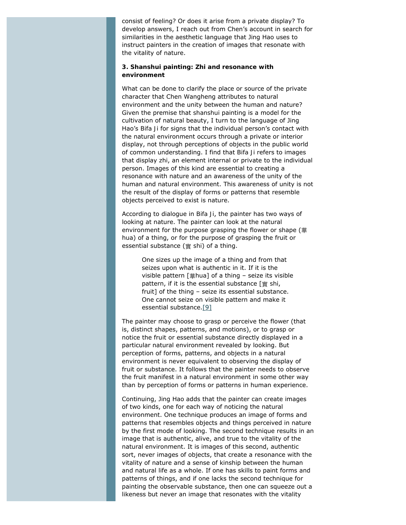consist of feeling? Or does it arise from a private display? To develop answers, I reach out from Chen's account in search for similarities in the aesthetic language that Jing Hao uses to instruct painters in the creation of images that resonate with the vitality of nature.

#### **3.** *Shanshui* **painting:** *Zhi* **and resonance with environment**

What can be done to clarify the place or source of the private character that Chen Wangheng attributes to natural environment and the unity between the human and nature? Given the premise that *shanshui* painting is a model for the cultivation of natural beauty, I turn to the language of Jing Hao's *Bifa Ji* for signs that the individual person's contact with the natural environment occurs through a private or interior display, not through perceptions of objects in the public world of common understanding. I find that *Bifa Ji* refers to images that display *zhi*, an element internal or private to the individual person. Images of this kind are essential to creating a resonance with nature and an awareness of the unity of the human and natural environment. This awareness of unity is *not* the result of the display of forms or patterns that resemble objects perceived to exist is nature.

According to dialogue in *Bifa Ji*, the painter has two ways of looking at nature. The painter can look at the natural environment for the purpose grasping the flower or shape (華 *hua*) of a thing, or for the purpose of grasping the fruit or essential substance (實 *shi*) of a thing.

> One sizes up the image of a thing and from that seizes upon what is authentic in it. If it is the visible pattern [華*hua*] of a thing – seize its visible pattern, if it is the essential substance [實 *shi*, fruit] of the thing – seize its essential substance. One cannot seize on visible pattern and make it essential substance.[\[9\]](#page-14-8)

<span id="page-5-0"></span>The painter may choose to grasp or perceive the flower (that is, distinct shapes, patterns, and motions), or to grasp or notice the fruit or essential substance directly displayed in a particular natural environment revealed by looking. But perception of forms, patterns, and objects in a natural environment is never equivalent to observing the display of fruit or substance. It follows that the painter needs to observe the fruit manifest in a natural environment in some other way than by perception of forms or patterns in human experience.

Continuing, Jing Hao adds that the painter can create images of two kinds, one for each way of noticing the natural environment. One technique produces an image of forms and patterns that resembles objects and things perceived in nature by the first mode of looking. The second technique results in an image that is authentic, alive, and true to the vitality of the natural environment. It is images of this second, authentic sort, never images of objects, that create a resonance with the vitality of nature and a sense of kinship between the human and natural life as a whole. If one has skills to paint forms and patterns of things, and if one lacks the second technique for painting the observable substance, then one can squeeze out a likeness but never an image that resonates with the vitality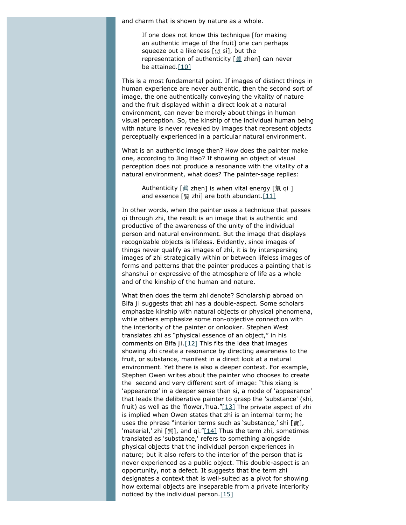and charm that is shown by nature as a whole.

If one does not know this technique [for making an authentic image of the fruit] one can perhaps squeeze out a likeness [似 *si*], but the representation of authenticity [[眞](http://www.chinese-tools.com/tools/sinograms.html?q=%25E7%259C%259E) *zhen*] can never be attained[.\[10\]](#page-14-9)

<span id="page-6-0"></span>This is a most fundamental point. If images of distinct things in human experience are never authentic, then the second sort of image, the one authentically conveying the vitality of nature and the fruit displayed within a direct look at a natural environment, can never be merely about things in human visual perception. So, the kinship of the individual human being with nature is never revealed by images that represent objects perceptually experienced in a particular natural environment.

What is an authentic image then? How does the painter make one, according to Jing Hao? If showing an object of visual perception does not produce a resonance with the vitality of a natural environment, what does? The painter-sage replies:

> Authenticity [[眞](http://www.chinese-tools.com/tools/sinograms.html?q=%25E7%259C%259E) *zhen*] is when vital energy [氣 *qi* ] and essence [質 *zhi*] are both abundant[.\[11\]](#page-14-10)

<span id="page-6-1"></span>In other words, when the painter uses a technique that passes *qi* through *zhi,* the result is an image that is authentic and productive of the awareness of the unity of the individual person and natural environment. But the image that displays recognizable objects is lifeless. Evidently, since images of things never qualify as images of *zhi*, it is by interspersing images of *zhi* strategically within or between lifeless images of forms and patterns that the painter produces a painting that is *shanshui* or expressive of the atmosphere of life as a whole and of the kinship of the human and nature.

<span id="page-6-5"></span><span id="page-6-4"></span><span id="page-6-3"></span><span id="page-6-2"></span>What then does the term *zhi* denote? Scholarship abroad on *Bifa Ji* suggests that *zhi* has a double-aspect. Some scholars emphasize kinship with natural objects or physical phenomena, while others emphasize some non-objective connection with the interiority of the painter or onlooker. Stephen West translates *zhi* as "physical essence of an object," in his comments on *Bifa Ji*.[\[12\]](#page-14-11) This fits the idea that images showing *zhi* create a resonance by directing awareness to the fruit, or substance, manifest in a direct look at a natural environment. Yet there is also a deeper context. For example, Stephen Owen writes about the painter who chooses to create the second and very different sort of image: "this *xiang* is 'appearance' in a deeper sense than *si*, a mode of 'appearance' that leads the deliberative painter to grasp the 'substance' (*shi,* fruit) as well as the 'flower,'*hua*.["\[13\]](#page-14-12) The private aspect of *zhi* is implied when Owen states that *zhi* is an *internal* term; he uses the phrase "interior terms such as 'substance,' *shi* [實], 'material,' *zhi* [質], and *qi*.["\[14\]](#page-14-13) Thus the term *zhi*, sometimes translated as 'substance,' refers to something alongside physical objects that the individual person experiences in nature; but it also refers to the interior of the person that is never experienced as a public object. This double-aspect is an opportunity, not a defect. It suggests that the term *zhi* designates a context that is well-suited as a pivot for showing how external objects are inseparable from a private interiority noticed by the individual person. $[15]$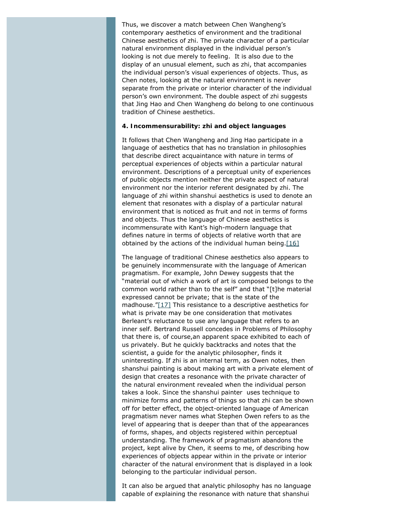Thus, we discover a match between Chen Wangheng's contemporary aesthetics of environment and the traditional Chinese aesthetics of *zhi*. The private character of a particular natural environment displayed in the individual person's looking is not due merely to feeling. It is also due to the display of an unusual element, such as *zhi*, that accompanies the individual person's visual experiences of objects. Thus, as Chen notes, looking at the natural environment is never separate from the private or interior character of the individual person's own environment. The double aspect of *zhi* suggests that Jing Hao and Chen Wangheng do belong to one continuous tradition of Chinese aesthetics.

#### **4. Incommensurability:** *zhi* **and object languages**

It follows that Chen Wangheng and Jing Hao participate in a language of aesthetics that has no translation in philosophies that describe direct acquaintance with nature in terms of perceptual experiences of objects within a particular natural environment. Descriptions of a perceptual unity of experiences of public objects mention neither the private aspect of natural environment nor the interior referent designated by *zhi*. The language of *zhi* within *shanshui* aesthetics is used to denote an element that resonates with a display of a particular natural environment that is noticed as fruit and not in terms of forms and objects. Thus the language of Chinese aesthetics is incommensurate with Kant's high-modern language that defines nature in terms of objects of relative worth that are obtained by the actions of the individual human being. $[16]$ 

<span id="page-7-1"></span><span id="page-7-0"></span>The language of traditional Chinese aesthetics also appears to be genuinely incommensurate with the language of American pragmatism. For example, John Dewey suggests that the "material out of which a work of art is composed belongs to the common world rather than to the self" and that "[t]he material expressed cannot be private; that is the state of the madhouse.["\[17\]](#page-14-16) This resistance to a descriptive aesthetics for what is private may be one consideration that motivates Berleant's reluctance to use any language that refers to an inner self. Bertrand Russell concedes in *Problems of Philosophy* that there is*,* of course,an *apparent space* exhibited to each of us privately. But he quickly backtracks and notes that the scientist, a guide for the analytic philosopher, finds it uninteresting. If *zhi* is an internal term, as Owen notes, then *shanshui* painting is about making art with a private element of design that creates a resonance with the private character of the natural environment revealed when the individual person takes a look. Since the *shanshui* painter uses technique to minimize forms and patterns of things so that *zhi* can be shown off for better effect, the object-oriented language of American pragmatism never names what Stephen Owen refers to as the level of appearing that is deeper than that of the appearances of forms, shapes, and objects registered within perceptual understanding. The framework of pragmatism abandons the project, kept alive by Chen, it seems to me, of describing how experiences of objects appear within in the private or interior character of the natural environment that is displayed in a look belonging to the particular individual person.

It can also be argued that analytic philosophy has no language capable of explaining the resonance with nature that *shanshui*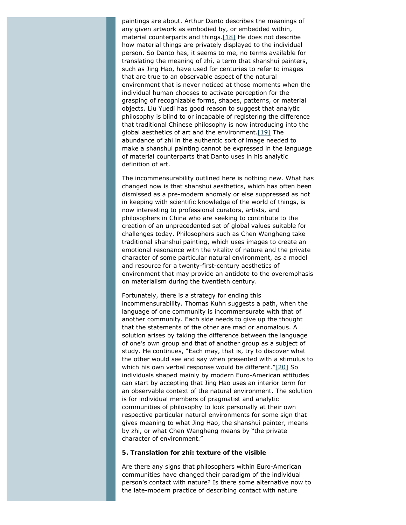<span id="page-8-0"></span>paintings are about. Arthur Danto describes the meanings of any given artwork as embodied by, or embedded within, material counterparts and things.[\[18\]](#page-14-17) He does not describe how material things are privately displayed to the individual person. So Danto has, it seems to me, no terms available for translating the meaning of *zhi*, a term that *shanshui* painters, such as Jing Hao, have used for centuries to refer to images that are true to an observable aspect of the natural environment that is never noticed at those moments when the individual human chooses to activate perception for the grasping of recognizable forms, shapes, patterns, or material objects. Liu Yuedi has good reason to suggest that analytic philosophy is blind to or incapable of registering the difference that traditional Chinese philosophy is now introducing into the global aesthetics of art and the environment[.\[19\]](#page-14-18) The abundance of *zhi* in the authentic sort of image needed to make a *shanshui* painting cannot be expressed in the language of material counterparts that Danto uses in his analytic definition of art.

<span id="page-8-1"></span>The incommensurability outlined here is nothing new. What has changed now is that *shanshui* aesthetics, which has often been dismissed as a pre-modern anomaly or else suppressed as not in keeping with scientific knowledge of the world of things, is now interesting to professional curators, artists, and philosophers in China who are seeking to contribute to the creation of an unprecedented set of global values suitable for challenges today. Philosophers such as Chen Wangheng take traditional *shanshui* painting, which uses images to create an emotional resonance with the vitality of nature and the private character of some particular natural environment, as a model and resource for a twenty-first-century aesthetics of environment that may provide an antidote to the overemphasis on materialism during the twentieth century.

<span id="page-8-2"></span>Fortunately, there is a strategy for ending this incommensurability. Thomas Kuhn suggests a path, when the language of one community is incommensurate with that of another community. Each side needs to give up the thought that the statements of the other are mad or anomalous. A solution arises by taking the difference between the language of one's own group and that of another group as a subject of study. He continues, "Each may, that is, try to discover what the other would see and say when presented with a stimulus to which his own verbal response would be different.["\[20\]](#page-15-0) So individuals shaped mainly by modern Euro-American attitudes can start by accepting that Jing Hao uses an interior term for an observable context of the natural environment. The solution is for individual members of pragmatist and analytic communities of philosophy to look personally at their own respective particular natural environments for some sign that gives meaning to what Jing Hao, the *shanshui* painter, means by *zhi,* or what Chen Wangheng means by "the private character of environment."

#### **5. Translation for** *zhi***: texture of the visible**

Are there any signs that philosophers within Euro-American communities have changed their paradigm of the individual person's contact with nature? Is there some alternative now to the late-modern practice of describing contact with nature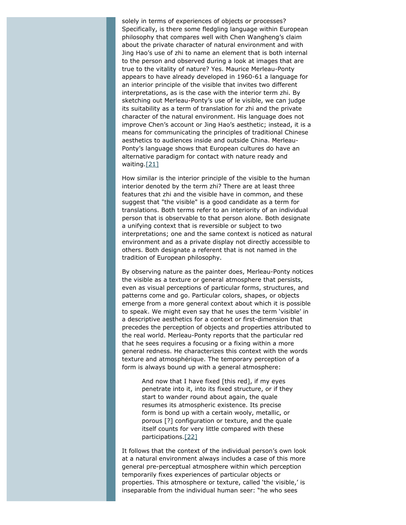solely in terms of experiences of objects or processes? Specifically, is there some fledgling language within European philosophy that compares well with Chen Wangheng's claim about the private character of natural environment and with Jing Hao's use of *zhi* to name an element that is both internal to the person and observed during a look at images that are true to the vitality of nature? Yes. Maurice Merleau-Ponty appears to have already developed in 1960-61 a language for an interior principle of the visible that invites two different interpretations, as is the case with the interior term *zhi*. By sketching out Merleau-Ponty's use of *le visible*, we can judge its suitability as a term of translation for *zhi* and the private character of the natural environment. His language does not improve Chen's account or Jing Hao's aesthetic; instead, it is a means for *communicating* the principles of traditional Chinese aesthetics to audiences inside and outside China. Merleau-Ponty's language shows that European cultures do have an alternative paradigm for contact with nature ready and waiting[.\[21\]](#page-15-1)

<span id="page-9-0"></span>How similar is the interior principle of the visible to the human interior denoted by the term *zhi*? There are at least three features that *zhi* and the visible have in common, and these suggest that "the visible" is a good candidate as a term for translations. Both terms refer to an interiority of an individual person that is observable to that person alone. Both designate a unifying context that is reversible or subject to two interpretations; one and the same context is noticed as natural environment and as a private display not directly accessible to others. Both designate a referent that is not named in the tradition of European philosophy.

By observing nature as the painter does, Merleau-Ponty notices the visible as a texture or general atmosphere that persists, even as visual perceptions of particular forms, structures, and patterns come and go. Particular colors, shapes, or objects emerge from a more general context about which it is possible to speak. We might even say that he uses the term 'visible' in a descriptive aesthetics for a context or first-dimension that precedes the perception of objects and properties attributed to the real world. Merleau-Ponty reports that the particular red that he sees requires a focusing or a fixing within a more general redness. He characterizes this context with the words *texture* and *atmosphérique*. The temporary perception of a form is always bound up with a general atmosphere:

And now that I have fixed [this red], if my eyes penetrate into it, into its fixed structure, or if they start to wander round about again, the quale resumes its *atmospheric* existence. Its precise form is bond up with a certain wooly, metallic, or porous [?] configuration or *texture*, and the quale itself counts for very little compared with these participations[.\[22\]](#page-15-2)

<span id="page-9-1"></span>It follows that the context of the individual person's own look at a natural environment always includes a case of this more general pre-perceptual atmosphere within which perception temporarily fixes experiences of particular objects or properties. This atmosphere or texture, called 'the visible,' is inseparable from the individual human seer: "he who sees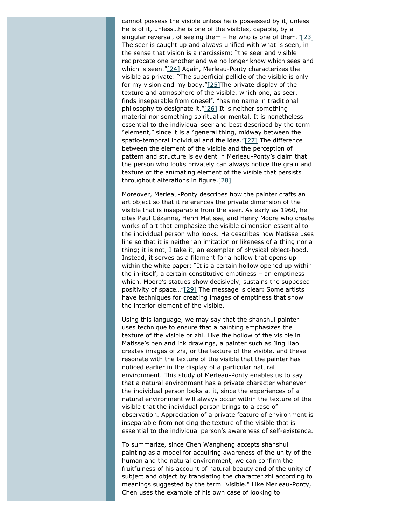<span id="page-10-2"></span><span id="page-10-1"></span><span id="page-10-0"></span>cannot possess the visible unless he is possessed by it, unless he is of it, unless…he is one of the visibles, capable, by a singular reversal, of seeing them  $-$  he who is one of them.["\[23\]](#page-15-3) The seer is caught up and always unified with what is seen, in the sense that vision is a narcissism: "the seer and visible reciprocate one another and we no longer know which sees and which is seen."[\[24\]](#page-15-4) Again, Merleau-Ponty characterizes the visible as private: "The superficial pellicle of the visible is only for my vision and my body." $[25]$ The private display of the texture and atmosphere of the visible, which one, as seer, finds inseparable from oneself, "has no name in traditional philosophy to designate it.["\[26\]](#page-15-6) It is neither something material nor something spiritual or mental. It is nonetheless essential to the individual seer and best described by the term "element," since it is a "general thing, midway between the spatio-temporal individual and the idea.["\[27\]](#page-15-7) The difference between the element of the visible and the perception of pattern and structure is evident in Merleau-Ponty's claim that the person who looks privately can always notice the grain and texture of the animating element of the visible that persists throughout alterations in figure[.\[28\]](#page-15-8)

<span id="page-10-5"></span><span id="page-10-4"></span><span id="page-10-3"></span>Moreover, Merleau-Ponty describes how the painter crafts an art object so that it references the private dimension of the visible that is inseparable from the seer. As early as 1960, he cites Paul Cézanne, Henri Matisse, and Henry Moore who create works of art that emphasize the visible dimension essential to the individual person who looks. He describes how Matisse uses line so that it is neither an imitation or likeness of a thing nor a thing; it is not, I take it, an exemplar of physical object-hood. Instead, it serves as a filament for a hollow that opens up within the white paper: "It is a certain hollow opened up within the in-itself, a certain constitutive emptiness – an emptiness which, Moore's statues show decisively, sustains the supposed positivity of space…["\[29\]](#page-15-9) The message is clear: Some artists have techniques for creating images of emptiness that show the interior element of the visible.

<span id="page-10-6"></span>Using this language, we may say that the *shanshui* painter uses technique to ensure that a painting emphasizes the texture of the visible or *zhi*. Like the hollow of the visible in Matisse's pen and ink drawings, a painter such as Jing Hao creates images of *zhi,* or the texture of the visible, and these resonate with the texture of the visible that the painter has noticed earlier in the display of a particular natural environment. This study of Merleau-Ponty enables us to say that a natural environment has a private character whenever the individual person looks at it, since the experiences of a natural environment will always occur within the texture of the visible that the individual person brings to a case of observation. Appreciation of a private feature of environment is inseparable from noticing the texture of the visible that is essential to the individual person's awareness of self-existence.

To summarize, since Chen Wangheng accepts *shanshui* painting as a model for acquiring awareness of the unity of the human and the natural environment, we can confirm the fruitfulness of his account of natural beauty and of the unity of subject and object by translating the character *zhi* according to meanings suggested by the term "visible." Like Merleau-Ponty, Chen uses the example of his own case of looking to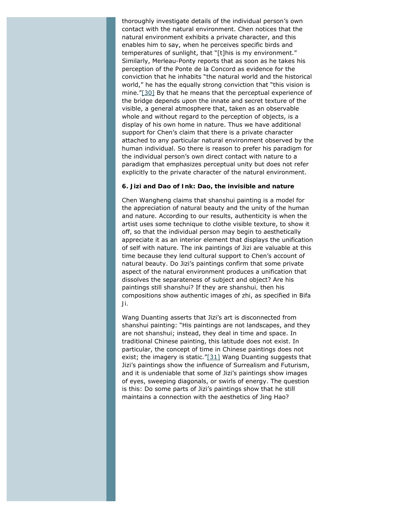<span id="page-11-0"></span>thoroughly investigate details of the individual person's own contact with the natural environment. Chen notices that the natural environment exhibits a private character, and this enables him to say, when he perceives specific birds and temperatures of sunlight, that "[t]his is my environment." Similarly, Merleau-Ponty reports that as soon as he takes his perception of the Ponte de la Concord as evidence for the conviction that he inhabits "the natural world and the historical world," he has the equally strong conviction that "this vision is *mine*.["\[30\]](#page-15-10) By that he means that the perceptual experience of the bridge depends upon the innate and secret texture of the visible, a general atmosphere that, taken as an observable whole and without regard to the perception of objects, is a display of his own home in nature. Thus we have additional support for Chen's claim that there is a private character attached to any particular natural environment observed by the human individual. So there is reason to prefer his paradigm for the individual person's own direct contact with nature to a paradigm that emphasizes perceptual unity but does not refer explicitly to the private character of the natural environment.

#### **6. Jizi and** *Dao of Ink***:** *Dao,* **the invisible and nature**

Chen Wangheng claims that *shanshui* painting is a model for the appreciation of natural beauty and the unity of the human and nature. According to our results, authenticity is when the artist uses some technique to clothe visible texture, to show it off, so that the individual person may begin to aesthetically appreciate it as an interior element that displays the unification of self with nature. The ink paintings of Jizi are valuable at this time because they lend cultural support to Chen's account of natural beauty. Do Jizi's paintings confirm that some private aspect of the natural environment produces a unification that dissolves the separateness of subject and object? Are his paintings still *shanshui*? If they are *shanshui,* then his compositions show authentic images of *zhi*, as specified in *Bifa Ji.*

<span id="page-11-1"></span>Wang Duanting asserts that Jizi's art is disconnected from *shanshui* painting: "His paintings are not landscapes, and they are not *shanshui*; instead, they deal in time and space. In traditional Chinese painting, this latitude does not exist. In particular, the concept of time in Chinese paintings does not exist; the imagery is static." $[31]$  Wang Duanting suggests that Jizi's paintings show the influence of Surrealism and Futurism, and it is undeniable that some of Jizi's paintings show images of eyes, sweeping diagonals, or swirls of energy. The question is this: Do some parts of Jizi's paintings show that he still maintains a connection with the aesthetics of Jing Hao?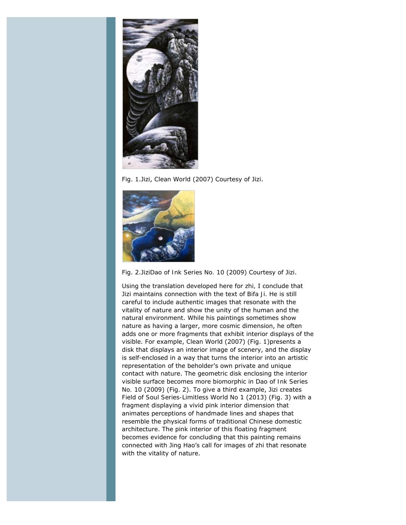

Fig. 1.Jizi, *Clean World* (2007) Courtesy of Jizi.



Fig. 2.Jizi*Dao of Ink Series No. 10* (2009) Courtesy of Jizi.

Using the translation developed here for *zhi,* I conclude that Jizi maintains connection with the text of *Bifa Ji.* He is still careful to include authentic images that resonate with the vitality of nature and show the unity of the human and the natural environment. While his paintings sometimes show nature as having a larger, more cosmic dimension, he often adds one or more fragments that exhibit interior displays of the visible. For example, *Clean World* (2007) (Fig. 1)presents a disk that displays an interior image of scenery, and the display is self-enclosed in a way that turns the interior into an artistic representation of the beholder's own private and unique contact with nature. The geometric disk enclosing the interior visible surface becomes more biomorphic in *Dao of Ink Series No. 10* (2009) (Fig. 2). To give a third example, Jizi creates *Field of Soul Series-Limitless World No 1* (2013) (Fig. 3) with a fragment displaying a vivid pink interior dimension that animates perceptions of handmade lines and shapes that resemble the physical forms of traditional Chinese domestic architecture. The pink interior of this floating fragment becomes evidence for concluding that this painting remains connected with Jing Hao's call for images of *zhi* that resonate with the vitality of nature.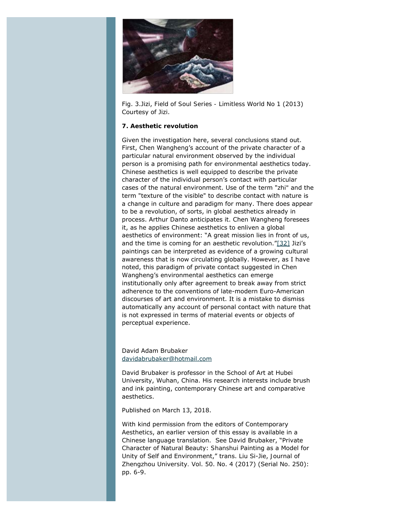

Fig. 3.Jizi, *Field of Soul Series - Limitless World No 1* (2013) Courtesy of Jizi.

#### **7. Aesthetic revolution**

<span id="page-13-0"></span>Given the investigation here, several conclusions stand out. First, Chen Wangheng's account of the private character of a particular natural environment observed by the individual person is a promising path for environmental aesthetics today. Chinese aesthetics is well equipped to describe the private character of the individual person's contact with particular cases of the natural environment. Use of the term "*zhi"* and the term "texture of the visible" to describe contact with nature is a change in culture and paradigm for many. There does appear to be a revolution, of sorts, in global aesthetics already in process. Arthur Danto anticipates it. Chen Wangheng foresees it, as he applies Chinese aesthetics to enliven a global aesthetics of environment: "A great mission lies in front of us, and the time is coming for an aesthetic revolution.["\[32\]](#page-15-12) Jizi's paintings can be interpreted as evidence of a growing cultural awareness that is now circulating globally. However, as I have noted, this paradigm of private contact suggested in Chen Wangheng's environmental aesthetics can emerge institutionally only after agreement to break away from strict adherence to the conventions of late-modern Euro-American discourses of art and environment. It is a mistake to dismiss automatically any account of personal contact with nature that is not expressed in terms of material events or objects of perceptual experience.

#### David Adam Brubaker [davidabrubaker@hotmail.com](mailto:davidabrubaker@hotmail.com)

David Brubaker is professor in the School of Art at Hubei University, Wuhan, China. His research interests include brush and ink painting, contemporary Chinese art and comparative aesthetics.

Published on March 13, 2018.

With kind permission from the editors of *Contemporary Aesthetics*, an earlier version of this essay is available in a Chinese language translation. See David Brubaker, "Private Character of Natural Beauty: *Shanshui* Painting as a Model for Unity of Self and Environment," trans. Liu Si-Jie, *Journal of Zhengzhou University.* Vol. 50. No. 4 (2017) (Serial No. 250): pp. 6-9.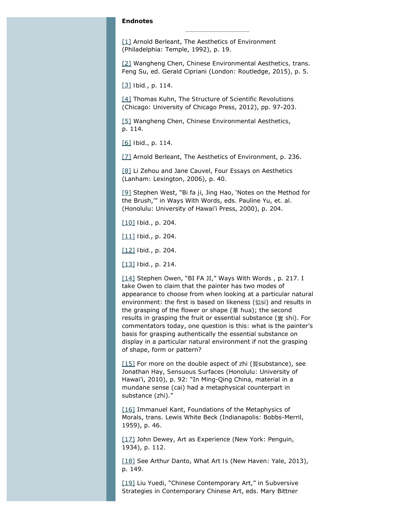#### **Endnotes**

<span id="page-14-0"></span>[\[1\]](#page-1-0) Arnold Berleant, *The Aesthetics of Environment* (Philadelphia: Temple, 1992), p. 19.

<span id="page-14-1"></span>[\[2\]](#page-1-1) Wangheng Chen, *Chinese Environmental Aesthetics,* trans. Feng Su, ed. Gerald Cipriani (London: Routledge, 2015), p. 5.

<span id="page-14-2"></span>[\[3\]](#page-2-0) *Ibid.*, p. 114.

<span id="page-14-3"></span>[\[4\]](#page-3-0) Thomas Kuhn, *The Structure of Scientific Revolutions* (Chicago: University of Chicago Press, 2012), pp. 97-203.

<span id="page-14-4"></span>[\[5\]](#page-4-0) Wangheng Chen, *Chinese Environmental Aesthetics*, p. 114.

<span id="page-14-5"></span>[\[6\]](#page-4-1) *Ibid*., p. 114.

<span id="page-14-6"></span>[\[7\]](#page-4-2) Arnold Berleant, *The Aesthetics of Environment*, p. 236.

<span id="page-14-7"></span>[\[8\]](#page-4-3) Li Zehou and Jane Cauvel, *Four Essays on Aesthetics* (Lanham: Lexington, 2006), p. 40.

<span id="page-14-8"></span>[\[9\]](#page-5-0) Stephen West, "*Bi fa ji*, Jing Hao, 'Notes on the Method for the Brush,'" in *Ways With Words*, eds. Pauline Yu, et. al. (Honolulu: University of Hawai'i Press, 2000), p. 204.

[\[10\]](#page-6-0) *Ibid.*, p. 204.

<span id="page-14-10"></span><span id="page-14-9"></span>[\[11\]](#page-6-1) *Ibid.*, p. 204.

<span id="page-14-11"></span>[\[12\]](#page-6-2) *Ibid.*, p. 204.

<span id="page-14-12"></span>[\[13\]](#page-6-3) *Ibid.*, p. 214.

<span id="page-14-13"></span>[\[14\]](#page-6-4) Stephen Owen, "BI FA JI," *Ways With Words* , p. 217. I take Owen to claim that the painter has two modes of appearance to choose from when looking at a particular natural environment: the first is based on likeness (似*si*) and results in the grasping of the flower or shape (華 *hua*); the second results in grasping the fruit or essential substance (實 *shi*). For commentators today, one question is this: what is the painter's basis for grasping authentically the essential substance on display in a particular natural environment if not the grasping of shape, form or pattern?

<span id="page-14-14"></span>[\[15\]](#page-6-5) For more on the double aspect of *zhi* (質substance), see Jonathan Hay, *Sensuous Surfaces* (Honolulu: University of Hawai'i, 2010), p. 92: "In Ming-Qing China, material in a mundane sense (*cai*) had a metaphysical counterpart in substance (*zhi*)."

<span id="page-14-15"></span>[\[16\]](#page-7-0) Immanuel Kant, *Foundations of the Metaphysics of Morals*, trans. Lewis White Beck (Indianapolis: Bobbs-Merril, 1959), p. 46.

<span id="page-14-16"></span>[\[17\]](#page-7-1) John Dewey, *Art as Experience* (New York: Penguin, 1934), p. 112.

<span id="page-14-17"></span>[\[18\]](#page-8-0) See Arthur Danto, *What Art Is* (New Haven: Yale, 2013), p. 149.

<span id="page-14-18"></span>[\[19\]](#page-8-1) Liu Yuedi, "Chinese Contemporary Art," in *Subversive Strategies in Contemporary Chinese Art*, eds. Mary Bittner